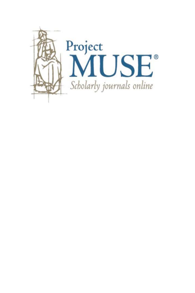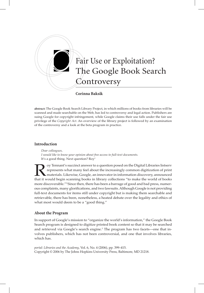

**Corinna Baksik**

**abstract:** The Google Book Search Library Project, in which millions of books from libraries will be scanned and made searchable on the Web, has led to controversy and legal action. Publishers are suing Google for copyright infringement, while Google claims their use falls under the fair use privilege of the *Copyright Act*. An overview of the library project is followed by an examination of the controversy and a look at the beta program in practice.

# **Introduction**

*Dear colleagues, I would like to know your opinion about free access to full-text documents.* It's a good thing. Next question? Roy<sup>1</sup>

The Digital Libraries listserv represents what many feel about the increasingly common digitization of print materials. Likewise, Google, an innovator in information discovery, announced that it would begin scanning books represents what many feel about the increasingly common digitization of print materials. Likewise, Google, an innovator in information discovery, announced that it would begin scanning books in library collections "to make the world of books more discoverable."<sup>2</sup> Since then, there has been a barrage of good and bad press, numerous complaints, many glorifications, and two lawsuits. Although Google is not providing full-text documents for items still under copyright but is making them searchable and retrievable, there has been, nonetheless, a heated debate over the legality and ethics of what most would deem to be a "good thing."

# **About the Program**

In support of Google's mission to "organize the world's information," the Google Book Search program is designed to digitize printed book content so that it may be searched and retrieved via Google's search engine.<sup>3</sup> The program has two facets—one that involves publishers, which has not been controversial, and one that involves libraries, which has.

*portal: Libraries and the Academy*, Vol. 6, No. 4 (2006), pp. 399–415. Copyright © 2006 by The Johns Hopkins University Press, Baltimore, MD 21218.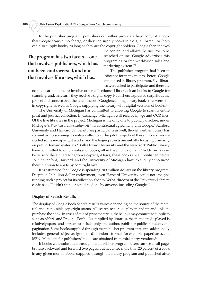In the publisher program, publishers can either provide a hard copy of a book that Google scans at no charge, or they can supply books in a digital format. Authors can also supply books, as long as they are the copyright holders. Google then indexes

# **The program has two facets—one that involves publishers, which has not been controversial, and one that involves libraries, which has.**

the content and allows the full text to be searched online. Google advertises this program as "a free worldwide sales and marketing system."4

The publisher program had been in existence for many months before Google announced its library program. Five libraries were asked to participate, and there are

no plans at this time to involve other collections.5 Libraries loan books to Google for scanning, and, in return, they receive a digital copy. Publishers expressed surprise at the project and concern over the lawfulness of Google scanning library books that were still in copyright, as well as Google supplying the library with digital versions of books.<sup>6</sup>

The University of Michigan has committed to allowing Google to scan its entire print and journal collection. In exchange, Michigan will receive image and OCR files. Of the five libraries in the project, Michigan is the only one to publicly disclose, under Michigan's F*reedom of Information Act,* its contractual agreement with Google.<sup>7</sup> Stanford University and Harvard University are participants as well, though neither library has committed to scanning its entire collection. The pilot projects at these universities included some in-copyright works, and the larger projects are initially focusing primarily on public domain materials.<sup>8</sup> Both Oxford University and the New York Public Library have committed to only a subset of books, all in the public domain.<sup>9</sup> In Oxford's case, because of the United Kingdom's copyright laws, these books are all published before 1885.<sup>10</sup> Stanford, Harvard, and the University of Michigan have explicitly announced their intention to abide by copyright law.<sup>11</sup>

It is estimated that Google is spending 200 million dollars on the library program. Despite a 26 billion dollar endowment, even Harvard University could not imagine funding such a project for its collection. Sidney Verba, director of the University Library, confessed, "I didn't think it could be done by anyone, including Google."12

# **Display of Search Results**

The display of Google Book Search results varies depending on the source of the material and its possible copyright status. All search results display metadata and links to purchase the book. In cases of out-of-print materials, these links may connect to suppliers such as Alibris and Froogle. For books supplied by libraries, the metadata displayed is relatively sparse and appears to include only title, author, publisher, publication date, and pagination. Some books supplied through the publisher program appear to additionally include a general subject assignment, dimensions, format (for example, paperback), and ISBN. Metadata for publishers' books are obtained from third party vendors.13

If books were submitted through the publisher program, users can see a full page, browse backward and forward two pages, but never see more than 20 percent of a book in any given month. Books supplied through the library program and published after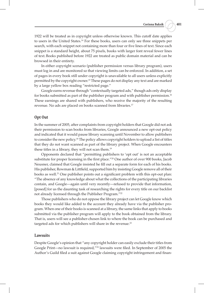1922 will be treated as in copyright unless otherwise known. This cutoff date applies to users in the United States.14 For these books, users can only see three snippets per search, with each snippet not containing more than four or five lines of text. Since each snippet is a standard height, about 75 pixels, books with larger font reveal fewer lines of text. Books published before 1922 are treated as public domain material and can be browsed in their entirety.

In either copyright scenario (publisher permission versus library program), users must log in and are monitored so that viewing limits can be enforced. In addition, a set of pages in every book still under copyright is unavailable to all users unless explicitly permitted by the copyright owner.<sup>15</sup> These pages do not display any text and are marked by a large yellow box reading "restricted page."

Google earns revenue through "contextually targeted ads," though ads only display for books submitted as part of the publisher program and with publisher permission.<sup>16</sup> These earnings are shared with publishers, who receive the majority of the resulting revenue. No ads are placed on books scanned from libraries.<sup>17</sup>

# **Opt Out**

In the summer of 2005, after complaints from copyright holders that Google did not ask their permission to scan books from libraries, Google announced a new opt-out policy and indicated that it would pause library scanning until November to allow publishers to consider the new policy.<sup>18</sup> The policy allows copyright holders to upload a list of titles that they do not want scanned as part of the library project. When Google encounters these titles in a library, they will not scan them.<sup>19</sup>

Opponents declared that "permitting publishers to 'opt out' is not an acceptable substitute for proper licensing in the first place."20 One author of over 900 books, Jacob Neusner, claimed that Google insisted he fill out a separate form for each of his books. His publisher, Rowman & Littfield, supported him by insisting Google remove all of their books as well.<sup>21</sup> One publisher points out a significant problem with this opt-out plan: "The absence of any knowledge about what the collections of the participating libraries contain, and Google—again until very recently—refused to provide that information, [posed] for us the daunting task of researching the rights for every title on our backlist not already licensed through the Publisher Program."22

Those publishers who do not oppose the library project can let Google know which books they would like added to the account they already have via the publisher program. When one of their books is scanned at a library, the same links that apply to books submitted via the publisher program will apply to the book obtained from the library. That is, users will see a publisher-chosen link to where the book can be purchased and targeted ads for which publishers will share in the revenue.<sup>23</sup>

#### **Lawsuits**

Despite Google's opinion that "any copyright holder can easily exclude their titles from Google Print—no lawsuit is required,"24 lawsuits were filed. In September of 2005 the Author's Guild filed a suit against Google claiming copyright infringement and finan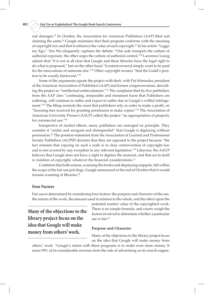cial damages.25 In October, the Association for American Publishers (AAP) filed suit claiming the same.<sup>26</sup> Google maintains that their program conforms with the meaning of copyright law and that it enhances the value of each copyright.<sup>27</sup> In his article "Leggo my Ego," Tim Wu eloquently captures the debate: "One side trumpets the culture of authorial exposure, the other urges the culture of authorial control."<sup>28</sup> Lawrence Lessig admits that "it is not at all clear that Google and these libraries have the legal right to do what is proposed," but on the other hand "[content owners] simply want to be paid for the innovations of someone else."29 Other copyright owners "find the Guild's position to be exactly backward."30

Some of the arguments equate the project with theft, with Pat Schroeder, president of the American Association of Publishers (AAP) and former congresswoman, describing the project as "intellectual embezzlement."31 The complaint filed by five publishers from the AAP cites "continuing, irreparable and imminent harm that Publishers are suffering, will continue to suffer and expect to suffer due to Google's willful infringement."<sup>32</sup> The filing reminds the court that publishers rely, in order to make a profit, on "licensing fees received for granting permission to make copies."33 The Association of American University Presses (AAUP) called the project "an appropriation of property for commercial use."34

Irrespective of market effects, many publishers are outraged on principle. They consider it "unfair and arrogant and disrespectful" that Google is digitizing without permission.35 The position statement from the Association of Learned and Professional Society Publishers (ALPSP) declares that they are opposed to the project because "the fact remains that copying on such a scale is in clear contravention of copyright law and is not covered by any exception in any relevant legislation."36 Likewise, the AAUP believes that Google does not have a right to digitize the material, and that act in itself is violation of copyright, whatever the financial considerations.<sup>37</sup>

Confident that both actions, scanning the books and displaying snippets, fall within the scope of the fair use privilege, Google announced at the end of October that it would resume scanning at libraries.<sup>38</sup>

# **Four Factors**

Fair use is determined by considering four factors: the purpose and character of the use, the nature of the work, the amount used in relation to the whole, and the effect upon the

**Many of the objections to the library project focus on the idea that Google will make money from others' work.**

potential market value of the copyrighted work. There is no simple formula, and courts weigh the factors involved to determine whether a particular use is fair.39

#### **Purpose and Character**

Many of the objections to the library project focus on the idea that Google will make money from

others' work. "Google's intent with these programs is to make even more money. It earns 99% of its considerable revenue from the sale of advertising on its search engine.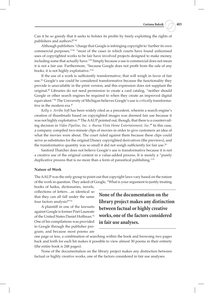Can it be so greedy that it seeks to bolster its profits by freely exploiting the rights of publishers and authors?"40

Although publishers "charge that Google is infringing copyright to 'further its own commercial purposes,'"41 "most of the cases in which courts have found unlicensed uses of copyrighted works to be fair have involved projects designed to make money, including some that actually have.<sup>"42</sup> Simply because a use is commercial does not mean it is not a fair use. Furthermore, "because Google does not profit from the sale of any books, it is not highly exploitative."43

If the use of a work is sufficiently transformative, that will weigh in favor of fair use.44 Google's use could be considered transformative because the functionality they provide is unavailable in the print version, and this expression does not supplant the original.45 Libraries do not need permission to create a card catalog, "neither should Google or other search engines be required to when they create an improved digital equivalent."46 The University of Michigan believes Google's use is *critically* transformative in the modern era.<sup>47</sup>

*Kelly v. Arriba Soft* has been widely cited as a precedent, wherein a search engine's creation of thumbnails based on copyrighted images was deemed fair use because it was not highly exploitative.<sup>48</sup> The AAUP pointed out, though, that there is a countervailing decision in *Video Pipeline, Inc. v. Buena Vista Home Entertainment, Inc*. 49 In this case, a company compiled two-minute clips of movies in order to give customers an idea of what the movies were about. The court ruled against them because these clips could serve as substitutes for the original Disney copyrighted derivatives (the previews), and the transformative quantity was so small it did not weigh sufficiently for fair use. $50$ 

Sanford Thatcher does not believe Google's use is transformative because it is not a creative use of the original content in a value-added process. It is merely a "purely duplicative process that is no more than a form of parasitical publishing."<sup>51</sup>

#### **Nature of Work**

The AAUP was the only group to point out that copyright laws vary based on the nature of the work in question. They asked of Google, "What is your argument to justify treating

books of haiku, dictionaries, novels, collections of letters…as identical so that they can all fall under the same four factors analysis?"52

A plaintiff in one of the lawsuits against Google is former Poet Laureate of the United States Daniel Hoffman.53 One of his compilations was provided to Google through the publisher program; and because most poems are

**None of the documentation on the library project makes any distinction between factual or highly creative works, one of the factors considered in fair use analyses.**

one page or less, a combination of searching within the book and browsing two pages back and forth for each hit makes it possible to view almost 30 poems in their entirety (the entire book is 248 pages).

None of the documentation on the library project makes any distinction between factual or highly creative works, one of the factors considered in fair use analyses.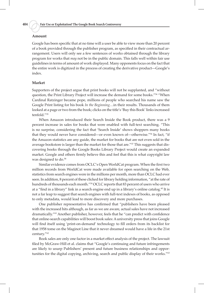#### **Amount**

Google has been specific that at no time will a user be able to view more than 20 percent of a book provided through the publisher program, as specified in their contractual arrangement. Users will only see a few sentences of works obtained through the library program for works that *may* not be in the public domain. This falls well within fair use guidelines in terms of amount of work displayed. Many opponents focus on the fact that the entire work is digitized in the process of creating the derivative product—Google's index.

# **Market**

Supporters of the project argue that print books will not be supplanted, and "without question, the Print Library Project will increase the demand for some books."54 "When Cardinal Ratzinger became pope, millions of people who searched his name saw the Google Print listing for his book *In the Beginning*…in their results. Thousands of them looked at a page or two from the book; clicks on the title's 'Buy this Book' links increased tenfold."55

When Amazon introduced their Search Inside the Book product, there was a 9 percent increase in sales for books that were enabled with full-text searching. "This is no surprise, considering the fact that 'Search Inside' shows shoppers many books that they would never have considered—or even known of—otherwise."56 In fact, "if the Amazon statistics are any guide, the market for books that are not even sold in the average bookstore is larger than the market for those that are."<sup>57</sup> This suggests that discovering books through the Google Books Library Project would create an expanded market. Google and others firmly believe this and feel that this is what copyright law was designed to do.<sup>58</sup>

Similar evidence comes from OCLC's Open WorldCat program. When the first two million records from WorldCat were made available for open searching on the Web, statistics from search engines were in the millions per month, more than OCLC had ever seen. In addition, 8 percent of these clicked for library holding information, "at the rate of hundreds of thousands each month."<sup>59</sup> OCLC reports that 83 percent of users who arrive at a "find in a library" link in a search engine end up in a library's online catalog.<sup>60</sup> It is not a far leap to suggest that search engines with full-text indexes of books, as opposed to only metadata, would lead to more discovery and more purchases.

One publisher representative has confirmed that "publishers have been pleased with the increased hits although, as far as we are aware, actual sales have not increased dramatically."61 Another publisher, however, feels that he "can predict with confidence that online-search capabilities will boost book sales: A university press that joins Google will find itself using 'print-on-demand' technology to fill orders from its backlist for that 1958 tome on the Maginot Line that it never dreamed would have a life in the 21st century."62

Book sales are only one factor in a market effect analysis of the project. The lawsuit filed by McGraw-Hill et al. claims that "Google's continuing and future infringements are likely to usurp Publishers' present and future business relationships and opportunities for the digital copying, archiving, search and public display of their works."<sup>63</sup>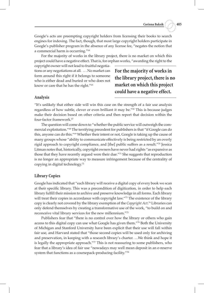Google's acts are preempting copyright holders from licensing their books to search engines for indexing. The fact, though, that most large copyright holders participate in Google's publisher program in the absence of any license fee, "negates the notion that a commercial harm is occurring."64

For the majority of works in the library project, there is no market on which this project could have a negative effect. That is, for orphan works, "awarding the right to the

copyright owner will not lead to fruitful negotiations or any negotiations at all. . . . No market can form around this right if it belongs to someone who is either dead and buried or who does not know or care that he has the right."65

**For the majority of works in the library project, there is no market on which this project could have a negative effect.**

# **Analysis**

"It's unlikely that either side will win this case on the strength of a fair use analysis regardless of how subtle, clever or even brilliant it may be."66 This is because judges make their decision based on other criteria and then report that decision within the four-factor framework.67

The question will come down to "whether the public service will outweigh the commercial exploitation."68 The terrifying precedent for publishers is that "if Google can do this, anyone can do this."69 Whether their intent or not, Google is taking up the cause of many groups whose "ability to communicate effectively is being restricted by an overly rigid approach to copyright compliance, and [the] public suffers as a result."70 Jessica Litman notes that, historically, copyright owners have never had rights "as expansive as those that they have recently argued were their due.<sup>"71</sup> She suggests that reproduction is no longer an appropriate way to measure infringement because of the centrality of copying in digital technology.72

#### **Library Copies**

Google has indicated that "each library will receive a digital copy of every book we scan at their specific library. This was a precondition of digitization, in order to help each library fulfill their mission to archive and preserve knowledge in all forms. Each library will treat their copies in accordance with copyright law."<sup>73</sup> The existence of the library copy is clearly not covered by the library exemption of the *Copyright Act*. 74 Libraries can only defend themselves by creating a transformative use of the work, "to build on and reconceive vital library services for the new millennium."75

Publishers fear that "there is no control over how the library or others who gain access to this digital copy can use what Google has given them."<sup>76</sup> Both the University of Michigan and Stanford University have been explicit that their use will fall within fair use, and Harvard stated that "those second copies will be used only for archiving and preservation, in keeping with a research library's charter. …We think and hope it is legally the appropriate approach."77 This is not reassuring to some publishers, who fear that a library's idea of fair use "nowadays may well mean deposit in an e-reserve system that functions as a coursepack-producing facility."78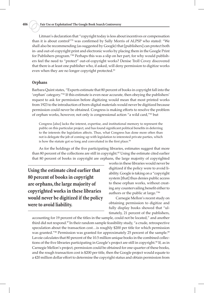Litman's declaration that "copyright today is less about incentives or compensation than it is about control"79 was confirmed by Sally Morris of ALPSP who stated: "We shall also be recommending (as suggested by Google) that [publishers] can protect both in- and out-of-copyright print and electronic works by placing them in the Google Print for Publishers program."80 Perhaps this was a slip on her part, for why would publishers feel the need to "protect" out-of-copyright works? Denise Troll Covey discovered that there is at least one publisher who, if asked, will deny permission to digitize works even when they are no longer copyright protected.<sup>81</sup>

# **Orphans**

Barbara Quint states, "Experts estimate that 80 percent of books in copyright fall into the 'orphan' category."82 If this estimate is even near accurate, then obeying the publishers' request to ask for permission before digitizing would mean that most printed works from 1923 to the introduction of born-digital materials would never be digitized because permission could never be obtained. Congress is making efforts to resolve the problem of orphan works, however, not only is congressional action "a wild card,"83 but

Congress [also] lacks the interest, expertise, and institutional memory to represent the public on this particular project, and has found significant political benefits in deferring to the interests the legislation affects. Thus, what Congress has done more often than not is delegate the job of coming up with legislation to interested private parties, which is how the statute got so long and convoluted in the first place.<sup>84</sup>

As for the holdings of the five participating libraries, estimates suggest that more than 80 percent of the collections are still in copyright.<sup>85</sup> Using the estimate cited earlier that 80 percent of books in copyright are orphans, the large majority of copyrighted

**Using the estimate cited earlier that 80 percent of books in copyright are orphans, the large majority of copyrighted works in these libraries would never be digitized if the policy were to avoid liability.**

works in these libraries would never be digitized if the policy were to avoid liability. Google is taking on a "copyright system [that] thus denies public access to these orphan works, without creating any countervailing benefit either to authors or the public at large."86

Carnegie Mellon's recent study on obtaining permission to digitize and fully display books showed that "ultimately, 21 percent of the publishers,

accounting for 19 percent of the titles in the sample, could not be located," and another third did not respond.87 In their random sample feasibility study, "a crude, retrospective speculation about the transaction cost…is roughly \$200 per title for which permission was granted."<sup>88</sup> Permission was granted for approximately 25 percent of the sample.<sup>89</sup> Lavoie calculates that 80 percent of the 10.5 million unique books in the combined collections of the five libraries participating in Google's project are still in copyright.<sup>90</sup> If, as in Carnegie Mellon's project, permission could be obtained for one-quarter of these books, and the rough transaction cost is \$200 per title, then the Google project would equate to a 420 million dollar effort to determine the copyright status and obtain permission from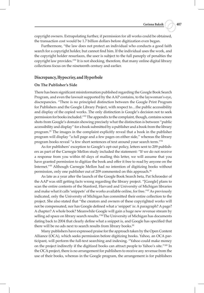copyright owners. Extrapolating further, if permission for all works could be obtained, the transaction cost would be 1.7 billion dollars before digitization even began.

Furthermore, "the law does not protect an individual who conducts a good faith search for a copyright holder, but cannot find him. If the individual uses the work, and the copyright holder resurfaces, the user is subject to the full panoply of penalties the copyright law provides."91 It is not shocking, therefore, that many online digital library collections focus on the nineteenth century and earlier.

# **Discrepancy, Hypocrisy, and Hyperbole**

#### **On The Publisher's Side**

There has been significant misinformation published regarding the Google Book Search Program, and even the lawsuit supported by the AAP contains, to the laywoman's eye, discrepancies. "There is no principled distinction between the Google Print Program for Publishers and the Google Library Project, with respect to…the public accessibility and display of the copied works. The only distinction is Google's decision not to seek permission for books included."92 The appendix to the complaint, though, contains screen shots from Google's domain showing precisely what the distinction is between "public accessibility and display" for a book submitted by a publisher and a book from the library program.93 The images in the complaint explicitly reveal that a book in the publisher program will display "a full page and a few pages on either side," whereas the library program books reveal "a few short sentences of text around your search term."94

As for publishers' exception to Google's opt-out policy, letters sent to 209 publishers as part of the Carnegie Mellon study included the statement: "If we do not receive a response from you within 60 days of mailing this letter, we will assume that you have granted permission to digitize the book and offer it free to read by anyone on the Internet."95 Although Carnegie Mellon had no intention of digitizing books without permission, only one publisher out of 209 commented on this approach.<sup>96</sup>

As late as a year after the launch of the Google Book Search beta, Pat Schroeder of the AAP was still getting facts wrong regarding the library project. "[Google] plans to scan the entire contents of the Stanford, Harvard and University of Michigan libraries and make what it calls 'snippets' of the works available online, for free."<sup>97</sup> As previously indicated, only the University of Michigan has committed their entire collection to the project. She also stated that "the creators and owners of these copyrighted works will not be compensated, nor has Google defined what a 'snippet' is: A paragraph? A page? A chapter? A whole book? Meanwhile Google will gain a huge new revenue stream by selling ad space on library search results."<sup>98</sup> The University of Michigan has documents dating back to 2004 that clearly define what a snippet is, and Google has specified that there will be no ads next to search results from library books.<sup>99</sup>

Many publishers have expressed praise for the approach taken by the Open Content Alliance (OCA), which seeks permission before digitizing books. Yahoo, an OCA participant, will perform the full-text searching and indexing. "Yahoo could make money on the project indirectly if the digitized books can attract people to Yahoo's site."100 In the OCA project, there is no arrangement for publishers to receive any revenue from the use of their books, whereas in the Google program, the arrangement is for publishers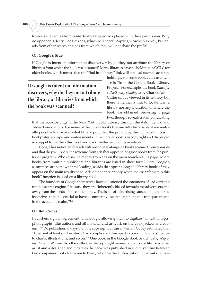to receive revenues from contextually targeted ads placed with their permission. Why do opponents decry Google's ads, which will benefit copyright owners as well, but not ads from other search engines from which they will not share the profit?

# **On Google's Side**

If Google is intent on information discovery, why do they not attribute the library or libraries from which the book was scanned? Many libraries have no holdings in OCLC for older books, which means that the "find in a library" link will not lead users to accurate

**If Google is intent on information discovery, why do they not attribute the library or libraries from which the book was scanned?**

holdings. For some books, all a user will see is "from the Google Books Library Project." For example, the book *Rules for a Dictionary Catalogue* by Charles Ammi Cutter can be viewed in its entirety, but there is neither a link to locate it in a library nor any indication of where the book was obtained. Browsing to page two, though, reveals a stamp indicating

that the book belongs to the New York Public Library through the Astor, Lenox, and Tilden Foundations. For many of the library books that are fully browsable, it is eventually possible to discover what library provided the print copy through attributions in bookplates, stamps, and embossments. If the library book is in copyright and displayed in snippet form, then this front and back matter will not be available.

Google has indicated that ads will not appear alongside books scanned from libraries and that they will share the revenue from ads that appear alongside books from the publisher program. Who earns the money from ads on the main search results page, where books from multiple publishers and libraries are listed in short form? Here Google's assurances are somewhat misleading, as ads do appear alongside library books if they appear on the main results page. Ads do not appear only when the "search within this book" function is used on a library book.

The founders of Google themselves have questioned the intentions of "advertising funded search engines" because they are "inherently biased towards the advertisers and away from the needs of the consumers. …The issue of advertising causes enough mixed incentives that it is crucial to have a competitive search engine that is transparent and in the academic realm."101

# **On Both Sides**

Publishers sign an agreement with Google allowing them to digitize "all text, images, photographs, illustrations and all material and artwork on the book jackets and covers."<sup>102</sup> Do publishers always own the copyright for this material? Covey estimated that 11 percent of books in her study had complicated third-party copyright ownership due to charts, illustrations, and so on.103 One book in the Google Book Search beta, *Way of the Peaceful Warrior,* lists the author as the copyright owner, contains credits for a cover artist and a designer, and indicates the book was published in a joint venture between two companies. Is it clear, even to them, who has the authorization to permit digitiza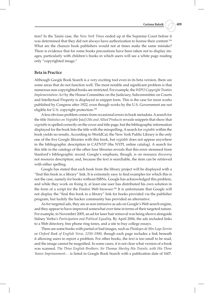tion? In the Tasini case, the *New York Times* ended up at the Supreme Court before it was determined that they did not always have authorization to license their content.<sup>104</sup> What are the chances book publishers would not at times make the same mistake? There is evidence that for some books precautions have been taken not to display images, particularly with children's books in which users will see a white page reading only "copyrighted image."

#### **Beta in Practice**

Although Google Book Search is a very exciting tool even in its beta version, there are some areas that do not function well. The most notable and significant problem is that numerous non-copyrighted books are restricted. For example, the *WIPO Copyright Treaties Implementation Act* by the House Committee on the Judiciary, Subcommittee on Courts and Intellectual Property is displayed in snippet form. This is the case for most works published by Congress after 1922, even though works by the U.S. Government are not eligible for U.S. copyright protection.<sup>105</sup>

A less obvious problem comes from occasional errors in book metadata. A search for the title *Statistics on Vegtable* [sic] *Oils and Allied Products* reveals snippets that show that *vegetable* is spelled correctly on the cover and title page, but the bibliographic information displayed for the book lists the title with the misspelling. A search for *vegtable* within the book yields no results. According to WorldCat, the New York Public Library is the only one of the five Google libraries with this book, but *vegtable* does not appear anywhere in the bibliographic description in CATNYP (the NYPL online catalog). A search for this title in the catalogs of the other four libraries reveals that this error stemmed from Stanford's bibliographic record. Google's emphasis, though, is on resource *discovery* not resource description; and, because the text is searchable, the item can be retrieved with either spelling.

Google has stated that each book from the library project will be displayed with a "find this book in a library" link. It is extremely easy to find examples for which this is not the case, namely for books without ISBNs. Google has acknowledged this problem, and while they work on fixing it, at least one user has distributed his own solution in the form of a script for the Firefox Web browser.106 It is unfortunate that Google will not display the "find this book in a library" link for books provided via the publisher program, but luckily the hacker community has provided an alternative.

As for targeted ads, they are as non-intrusive as ads on Google's Web search engine, and they appear to have improved somewhat over time in terms of their targeted nature. For example, in November 2005, an ad for laser hair removal was being shown alongside Sidney Verba's *Participation and Political Equality.* By April 2006, the ads included links to a Web directory, free phone ring tones, and a site to buy college essays.

There are some books with partial or bad images, such as *Plaidoyes de Mre Loys Servin* or *Oxford Book of English Verse, 1250–1900*, though each page includes a link beneath it allowing users to report a problem. For other books, the text is too small to be read, and the image cannot be magnified. In some cases, it is not clear what version of a book was scanned. *The Three English Brothers: Sir Thomas Sherley His Travels, with His Three Yeares Imprisonment…* is listed in Google Book Search with a publication date of 1607.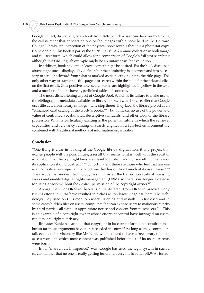Google, in fact, did not digitize a book from 1607, which a user can discover by linking the call number that appears on one of the images with a book held in the Harvard College Library. An inspection of the physical book reveals that it is a photostat copy. Coincidentally, this book is part of the *Early English Books Online* collection in both image and full-text form, which could allow for a comparison of Google's full-text searching although this Old English example might be an unfair basis for evaluation.

In addition, book navigation leaves something to be desired. For the book discussed above, page one is displayed by default, but the numbering is incorrect, and it is necessary to scroll backward from what is marked as page cxcv to get to the title page. The only other way to start at the title page is to search within the book for the title and click on the first result. On a positive note, search terms are highlighted in yellow in the text, and a number of books have hyperlinked tables of contents.

The most disheartening aspect of Google Book Search is its failure to make use of the bibliographic metadata available for library books. It was shown earlier that Google uses title data from library catalogs—why stop there? They label the library project as an "enhanced card catalog of the world's books,"107 but it makes no use of the power and value of controlled vocabularies, descriptive standards, and other tools of the library profession. What is particularly exciting is the potential future in which the retrieval capabilities and relevancy ranking of search engines in a full-text environment are combined with traditional methods of information organization.

#### **Conclusion**

"One thing is clear in looking at the Google library digitization; it is a project that excites people with its possibilities, a result that seems to fit in well with the spirit of innovation that the copyright laws are meant to protect, and not something the law or its application should obstruct."108 Unfortunately, there are those who feel that fair use is an "obsolete privilege" and a "doctrine that has outlived much of its usefulness."109 They argue that modern technology has minimized the transaction costs of licensing works and enabled digital rights management (DRM), so there is no longer a defense for using a work without the explicit permission of the copyright owner.<sup>110</sup>

An argument for DRM in theory is quite different from DRM in practice. Sony BMG's efforts in DRM have resulted in a class action lawsuit against them. The technology they used on CDs monitors users' listening and installs "undisclosed and in some cases hidden files on users' computers that can expose users to malicious attacks by third parties, all without appropriate notice and consent from purchasers."<sup>111</sup> This is an example of a copyright owner whose efforts at control have infringed on users' fundamental right to privacy.

Brewster Kahle has argued that copyright in its current form is unconstitutional, but so far these arguments have not succeeded in court.<sup>112</sup> As long as they continue to fail, even a noble visionary like Mr. Kahle will be forced to have a free library of openaccess works in which most content was published before most of its users' parents were born.

In its "marvelous, if imperfect" way, Google has used the legal system in such a clever manner that no one is really getting hurt, and everyone is better off.113 As for au-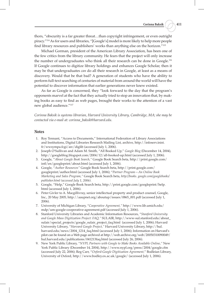thors, "obscurity is a far greater threat…than copyright infringement, or even outright piracy."114 As for users and libraries, "[Google's] model is more likely to help more people find library resources and publishers' works than anything else on the horizon."<sup>115</sup>

Michael Gorman, president of the American Library Association, has been one of the few critics from the library community. He fears that the project will only increase the number of undergraduates who think all their research can be done in Google.<sup>116</sup> If Google continues to digitize library holdings and enhances Google Scholar, then it may be that undergraduates *can* do all their research in Google, at least as a means of discovery. Would that be that bad? A generation of students who have the ability to perform full-text searching of centuries of material from around the world will have the potential to discover information that earlier generations never knew existed.

As far as Google is concerned, they "look forward to the day that the program's opponents marvel at the fact that they actually tried to stop an innovation that, by making books as easy to find as web pages, brought their works to the attention of a vast new global audience."117

*Corinna Baksik is systems librarian, Harvard University Library, Cambridge, MA; she may be contacted via e-mail at: corinna\_baksik@harvard.edu.*

#### **Notes**

- 1. Roy Tennant, "Access to Documents," International Federation of Library Associations and Institutions, Digital Libraries Research Mailing List, archive, http://infoserv.inist. fr/wwsympa.fcgi/arc/diglib (accessed July 1, 2006).
- 2. Joseph O'Sullivan and Adam M. Smith, "All Booked Up," *Google Blog* (December 14, 2004), http://googleblog.blogspot.com/2004/12/all-booked-up.html (accessed July 1, 2006).
- 3. Google, "*About Google Book Search,"* Google Book Search beta, http://print.google.com/ intl/en/googleprint/about.html (accessed July 1, 2006).
- 4. Google, "*Author Resources"* Google Book Search beta, http://print.google.com/ googleprint/author.html (accessed July 1, 2006); "*Partner Program—An Online Book Marketing and Sales Program,"* Google Book Search beta, *http://books. google.com/googlebooks/ publisher.html (accessed July 1, 2006).*
- 5. Google, "Help," Google Book Search beta, http://print.google.com/googleprint/help. html (accessed July 1, 2006).
- 6. Peter Givler to A. Macgillivray, senior intellectual property and product counsel, Google, Inc., 20 May 2005, http://aaupnet.org/aboutup/issues/0865\_001.pdf (accessed July 1, 2006).
- 7. University of Michigan Library, "*Cooperative Agreement,"* http://www.lib.umich.edu/ mdp/um-google-cooperative-agreement.pdf (accessed July 1, 2006).
- 8. Stanford University Libraries and Academic Information Resources, "*Stanford University and Google Mass Digitization Project: FAQ,"* SULAIR, http://www-sul.stanford.edu/about\_ sulair/special\_projects/google\_sulair\_project\_faq.html (accessed July 1, 2006); Harvard University Library, "*Harvard Google Project,"* Harvard University Library, http://hul. harvard.edu/news/2004\_1214\_faq.html (accessed July 1, 2006); Information on Harvard's pilot can be found on a Web page archived at http://web.archive.org/web/20050310090049/ hul.harvard.edu/publications/041213faq.html (accessed July 26, 2006).
- 9. New York Public Library, "*NYPL Partners with Google to Make Books Available Online,"* New York Public Library (December 14, 2004), http://www.nypl.org/press/2004/google.cfm (accessed July 22, 2006); Reg Carr, "*Oxford-Google Digitization Agreement,*" Bodleian Library, University of Oxford, http://www.bodley.ox.ac.uk/google/ (accessed July 1, 2006).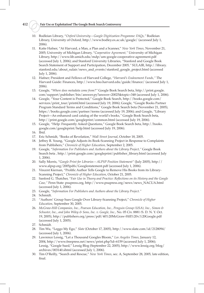# **412 Fair Use or Exploitation? The Google Book Search Controversy**

- 10. Bodleian Library, "*Oxford University—Google Digitization Progamme: FAQs,"* Bodleian Library, University of Oxford, http://www.bodley.ox.ac.uk/google/ (accessed July 1, 2006).
- 11. Katie Hafner, "At Harvard, a Man, a Plan and a Scanner," *New York Times,* November 21, 2005; University of Michigan Library, "*Cooperative Agreement,"* University of Michigan Library, http://www.lib.umich.edu/mdp/um-google-cooperative-agreement.pdf (accessed July 1, 2006); and Stanford University Libraries, "Stanford and Google Book Search Statement of Support and Participation, December 2005*,"* SULAIR, http://library. stanford.edu/about\_sulair/news\_and\_events/stanford\_google\_project.html (accessed July 1, 2006).
- 12. Hafner; President and Fellows of Harvard College, "*Harvard's Endowment Funds,"* The Harvard Guide: Finances, http://www.hno.harvard.edu/guide/finance/ (accessed July 1, 2006).
- 13. Google, "*Where does metadata come from?"* Google Book Search beta, http://print.google. com/support/publisher/bin/answer.py?answer=20025&topic=348 (accessed July 1, 2006).
- 14. Google, "Your Content is Protected," Google Book Search*,* http://books.google.com/ services/print\_tour/print4.html (accessed July 19, 2006); Google, "Google Books Partner Program Standard Terms and Conditions," Google Book Search beta (November 21, 2005), https://books.google.com/partner/terms (accessed July 19, 2006); and Google, "Library Project—An enhanced card catalog of the world's books*,"* Google Book Search beta, http://print.google.com/googleprint/common.html (accessed July 19, 2006).
- 15. Google, "Help: Frequently Asked Questions," Google Book Search beta, http://books. google.com/googleprint/help.html (accessed July 19, 2006).
- 16. Ibid.
- 17. Eric Schmidt, "Books of Revelation," *Wall Street Journal*, October 18, 2005.
- 18. Jeffrey R. Young, "Google Adjusts its Book-Scanning Project in Response to Complaints from Publishers," *Chronicle of Higher Education,* September 2, 2005.
- 19. Google, "*Information For Publishers and Authors about the Library Project,"* Google Book Search beta *,* http://print.google.com/googleprint/publisher\_library.html (accessed July 1, 2006).
- 20. Sally Morris, "*Google Print for Libraries—ALPSP Position Statement"* (July 2005), http:// www.alpsp.org/2005pdfs/Googlestatement.pdf (accessed July 1, 2006).
- 21. Vincent Kiernan, "Prolific Author Tells Google to Remove His Books from its Library-Scanning Project," *Chronicle of Higher Education*, October 21, 2005.
- 22. Sanford G. Thatcher, "*Fair Use in Theory and Practice: Reflections on its History and the Google Case,"* Penn State: psupress.org, http://www.psupress.org/news/news\_NACUA.html (accessed July 1, 2006).
- 23. Google, "*Information For Publishers and Authors about the Library Project."*
- 24. Schmidt.
- *25.* "Authors' Group Sues Google Over Library-Scanning Project," *Chronicle of Higher Education,* September 30, 2005.
- 26. *McGraw-Hill Companies, Inc., Pearson Education, Inc., Penguin Group (USA), Inc., Simon & Schuster, Inc., and John Wiley & Sons, Inc. v. Google, Inc.,* No. 05 Civ. 8881 *(*S. D. N. Y. Oct. 19, 2005), http://publishers.org/press/pdf/40%20McGraw-Hill%20v.%20Google.pdf (accessed July 1, 2005).
- 27. Schmidt.
- 28. Tim Wu, "Leggo My Ego," *Slate* (October 17, 2005), http://www.slate.com/id/2128094/ (accessed July 1, 2006).
- 29. Lawrence Lessig, "Let a Thousand Googles Bloom," *Los Angeles Times*, January 12, 2004, http://www.freepress.net/news/print.php?id=6159 (accessed July 1, 2006); Lessig, "Google Sued," Lessig Blog (September 22, 2005), http://www.lessig.org/blog/ archives/003140.shtml (accessed July 1, 2006).
- 30. Tim O'Reilly, "Search and Rescue," *New York Times*, sec. A, September 28, 2005, late edition, final.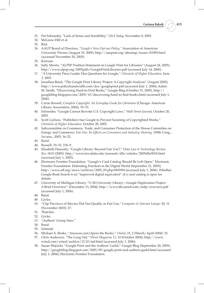- 31. Pat Schroeder, "Lack of Sense and Sensibility," *USA Today,* November 8, 2005.
- 32. McGraw-Hill et al.
- 33. Ibid.
- 34. AAUP Board of Directors, "*Google's New Opt-out Policy,"* Association of American University Presses (August 19, 2005), http://aaupnet.org/aboutup/issues/81905.html (accessed November 20, 2005).
- 35. Kiernan.
- 36. Sally Morris, "ALPSP Position Statement on Google Print for Libraries" (August 24, 2005), http://www.alpsp.org/2005pdfs/GooglePrintLibraries.pdf (accessed July 14, 2006).
- *37. "*A University Press Leader Has Questions for Google," *Chronicle of Higher Education,* June 3, 2005.
- 38. Jonathan Band, "The Google Print Library Project: A Copyright Analysis" (August 2005), http://www.policybandwidth.com/doc/googleprint.pdf (accessed July 1, 2006); Adam M. Smith, "Discovering Hard-to-Find Books," Google Blog (October 31, 2005), http:// googleblog.blogspot.com/2005/10/discovering-hard-to-find-books.html (accessed July 1, 2006).
- 39. Carrie Russell, *Complete Copyright: An Everyday Guide for Librarians* (Chicago: American Library Association, 2004), 19–33.
- 40. Schroeder, "Google Cannot Rewrite U.S. Copyright Laws," *Wall Street Journal,* October 20, 2005.
- 41. Scott Carlson, "Publishers Sue Google to Prevent Scanning of Copyrighted Works," *Chronicle of Higher Education*, October 28, 2005.
- 42. Subcommittee on Commerce, Trade, and Consumer Protection of the House Committee on Energy and Commerce, *Fair Use: Its Effects on Consumers and Industry, Hearing,* 109th Cong., 1st sess., 2005, 16–22.
- 43. Band.
- 44. Russell, 19–33, 218–9.
- 45. Elisabeth Hanratty, "Google Library: Beyond Fair Use?," *Duke Law & Technology Review Rev. 0010* (2005), http://www.law.duke.edu/journals/dltr/articles/2005dltr0010.html (accessed July 1, 2005).
- 46. Electronic Frontier Foundation, "Google's Card Catalog Should Be Left Open," Electronic Frontier Foundation: Defending Freedom in the Digital World (September 21, 2005), http://www.eff.org/news/archives/2005\_09.php#003994 (accessed July 1, 2006). Whether Google Book Search is an "improved digital equivalent" of a card catalog is open for debate.
- 47. University of Michigan Library, "U-M University Library—Google Digitization Project: A Brief Overview" (December 13, 2004), http://www.lib.umich.edu/mdp/overview.pdf (accessed July 1, 2006).
- 48. Band.
- 49. Givler.
- *50.* "Clip Previews of Movies Did Not Qualify as Fair Use," *Computer & Internet Lawyer* 20, 11 (November 2003): 27.
- 51. Thatcher.
- 52. Givler.
- *53.* "Authors' Group Sues."
- 54. Band.
- 55. Schmidt.
- 56. Michael A. Banks, "Amazon.com Opens the Books," *Online 28,* 2 (March/April 2004): 33.
- 57. Chris Anderson, "The Long Tail," *Wired Magazine 12*, 10 (October 2004), http://www. wired.com/wired/archive/12.10/tail.html (accessed July 1, 2006).
- 58. Susan Wojcicki, "Google Print and the Authors' Guild," Google Blog (September 20, 2005), http://googleblog.blogspot.com/2005/09/google-print-and-authors-guild.html (accessed July 1, 2006); Electronic Frontier Foundation.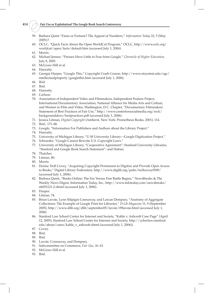# **414 Fair Use or Exploitation? The Google Book Search Controversy**

- 59. Barbara Quint "Fame or Fortune? The Appeal of Numbers," *Information Today* 22, 5 (May 2005):7.
- 60. OCLC, "Quick Facts About the Open WorldCat Program," OCLC, http://www.oclc.org/ worldcat/open/facts/default.htm (accessed July 1, 2006).
- 61. Morris.
- 62. Michael Jensen, "Presses Have Little to Fear from Google," *Chronicle of Higher Education,* July 8, 2005.
- 63. McGraw-Hill et al.
- 64. Hanratty.
- 65. Georgia Harper, "Google This," Copyright Crash Course, http://www.utsystem.edu/ogc/ intellectualproperty/googlethis.htm (accessed July 1, 2006).
- 66. Ibid.
- 67. Ibid.
- 68. Hanratty.
- 69. Carlson.
- 70. Association of Independent Video and Filmmakers, Independent Feature Project, International Documentary Association, National Alliance for Media Arts and Culture, and Women in Film and Video, Washington, D.C. Chapter, "Documentary Filmmakers Statement of Best Practices of Fair Use," http://www.centerforsocialmedia.org/rock/ backgrounddocs/bestpractices.pdf (accessed July 1, 2006).
- 71. Jessica Litman, *Digital Copyright* (Amherst, New York: Prometheus Books, 2001), 114.
- 72. Ibid., 171–86.
- 73. Google, "Information For Publishers and Authors about the Library Project."
- 74. Hanratty.
- 75. University of Michigan Library, "U-M University Library—Google Digitization Project."
- 76. Schroeder, "Google Cannot Rewrite U.S. Copyright Laws."
- 77. University of Michigan Library, "Cooperative Agreement"; Stanford University Libraries, "Stanford and Google Book Search Statement"; and Hafner.
- 78. Thatcher.
- 79. Litman, 80.
- 80. Morris.
- 81. Denise Troll Covey, "Acquiring Copyright Permission to Digitize and Provide Open Access to Books," Digital Library Federation, http://www.diglib.org/pubs/trollcovey0509/ (accessed July 1, 2006).
- 82. Barbara Quint, "Books Online: The Fee Versus Free Battle Begins," NewsBreaks & The Weekly News Digest, Information Today, Inc., http://www.infotoday.com/newsbreaks/ nb051121-2.shtml (accessed July 1, 2006).
- 83. Harper.
- 84. Litman, 74.
- 85. Brian Lavoie, Lynn Silipigni Connaway, and Lorcan Dempsey, "Anatomy of Aggregate Collections: The Example of Google Print for Libraries," *D-Lib Magazine* 11, 9 (September 2005), http://www.dlib.org/dlib/september05/lavoie/09lavoie.html (accessed July 1, 2006)
- 86. Stanford Law School Center for Internet and Society, "Kahle v. Ashcroft Case Page" (April 12, 2005), Stanford Law School Center for Internet and Society, http://cyberlaw.stanford. edu/about/cases/kahle\_v\_ashcroft.shtml (accessed July 1, 2006)).
- 87. Covey.
- 88. Ibid.
- 89. Ibid.
- 90. Lavoie, Connaway, and Dempsey.
- 91. Subcommittee on Commerce, *Fair Use, 36–43.*
- 92. McGraw-Hill et al.
- 93. Ibid.